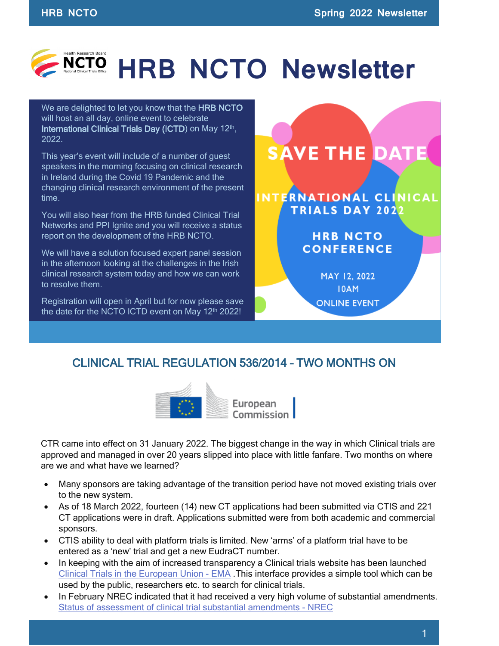

We are delighted to let you know that the HRB NCTO will host an all day, online event to celebrate International Clinical Trials Day (ICTD) on May  $12<sup>th</sup>$ , 2022.

This year's event will include of a number of guest speakers in the morning focusing on clinical research in Ireland during the Covid 19 Pandemic and the changing clinical research environment of the present time.

You will also hear from the HRB funded Clinical Trial Networks and PPI Ignite and you will receive a status report on the development of the HRB NCTO.

We will have a solution focused expert panel session in the afternoon looking at the challenges in the Irish clinical research system today and how we can work to resolve them.

Registration will open in April but for now please save the date for the NCTO ICTD event on May  $12<sup>th</sup> 2022!$ 

**SAVE THE DATE** INTERNATIONAL CLINICAL **TRIALS DAY 2022 HRB NCTO CONFERENCE** 

MAY 12, 2022 **IOAM ONLINE EVENT** 

## CLINICAL TRIAL REGULATION 536/2014 – TWO MONTHS ON



CTR came into effect on 31 January 2022. The biggest change in the way in which Clinical trials are approved and managed in over 20 years slipped into place with little fanfare. Two months on where are we and what have we learned?

- Many sponsors are taking advantage of the transition period have not moved existing trials over to the new system.
- As of 18 March 2022, fourteen (14) new CT applications had been submitted via CTIS and 221 CT applications were in draft. Applications submitted were from both academic and commercial sponsors.
- CTIS ability to deal with platform trials is limited. New 'arms' of a platform trial have to be entered as a 'new' trial and get a new EudraCT number.
- In keeping with the aim of increased transparency a Clinical trials website has been launched [Clinical Trials in the European Union - EMA](https://euclinicaltrials.eu/home) .This interface provides a simple tool which can be used by the public, researchers etc. to search for clinical trials.
- In February NREC indicated that it had received a very high volume of substantial amendments. [Status of assessment of clinical trial substantial amendments - NREC](https://www.nrecoffice.ie/status-of-assessment-of-clinical-trial-substantial-amendments-2/)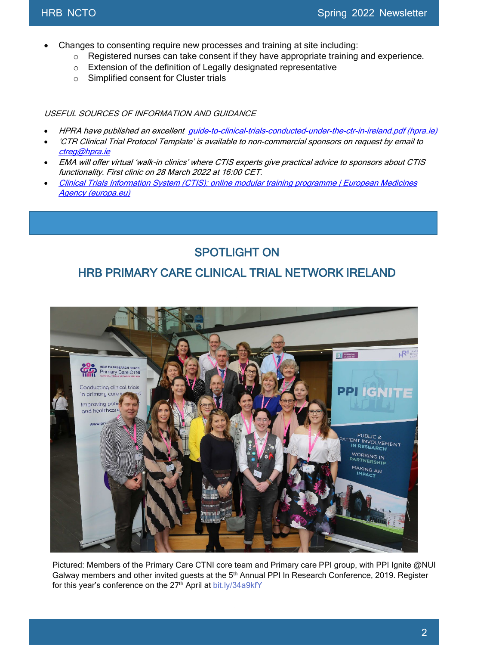- Changes to consenting require new processes and training at site including:
	- o Registered nurses can take consent if they have appropriate training and experience.
	- o Extension of the definition of Legally designated representative
	- o Simplified consent for Cluster trials

USEFUL SOURCES OF INFORMATION AND GUIDANCE

- HPRA have published an excellent [guide-to-clinical-trials-conducted-under-the-ctr-in-ireland.pdf \(hpra.ie\)](https://www.hpra.ie/docs/default-source/publications-forms/guidance-documents/guide-to-clinical-trials-conducted-under-the-ctr-in-ireland.pdf?sfvrsn=10)
- 'CTR Clinical Trial Protocol Template' is available to non-commercial sponsors on request by email to [ctreg@hpra.ie](mailto:ctreg@hpra.ie)
- EMA will offer virtual 'walk-in clinics' where CTIS experts give practical advice to sponsors about CTIS functionality. First clinic on 28 March 2022 at 16:00 CET.
- [Clinical Trials Information System \(CTIS\): online modular training programme | European Medicines](https://www.ema.europa.eu/en/human-regulatory/research-development/clinical-trials/clinical-trials-information-system-ctis-online-modular-training-programme)  [Agency \(europa.eu\)](https://www.ema.europa.eu/en/human-regulatory/research-development/clinical-trials/clinical-trials-information-system-ctis-online-modular-training-programme)

## SPOTLIGHT ON

## HRB PRIMARY CARE CLINICAL TRIAL NETWORK IRELAND



Pictured: Members of the Primary Care CTNI core team and Primary care PPI group, with PPI Ignite @NUI Galway members and other invited guests at the 5<sup>th</sup> Annual PPI In Research Conference, 2019. Register for this year's conference on the 27<sup>th</sup> April at [bit.ly/34a9kfY](https://t.co/Dtf1NRuile)